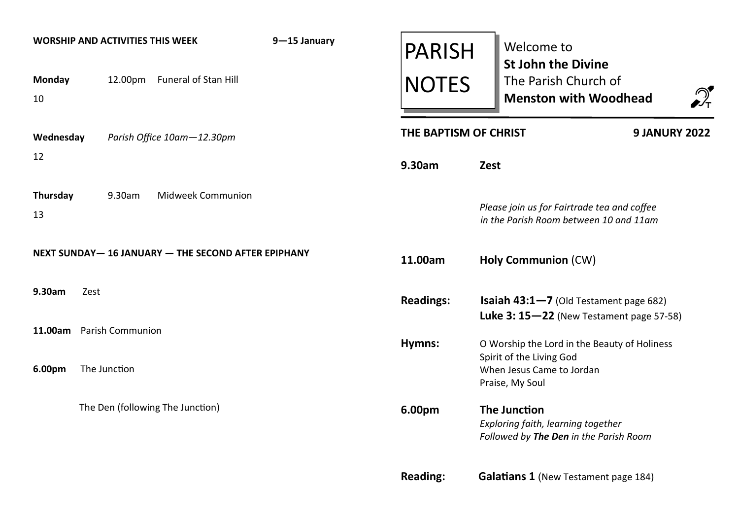| <b>Monday</b><br>10      |              |        | <b>WORSHIP AND ACTIVITIES THIS WEEK</b><br>12.00pm Funeral of Stan Hill | 9-15 January | <b>PARISH</b><br><b>NOTES</b> |                                                                          | Welcome to<br><b>St John the Divine</b><br>The Parish Church of<br>$\mathcal{D}_{\tau}$<br><b>Menston with Woodhead</b> |
|--------------------------|--------------|--------|-------------------------------------------------------------------------|--------------|-------------------------------|--------------------------------------------------------------------------|-------------------------------------------------------------------------------------------------------------------------|
| Wednesday                |              |        | Parish Office 10am-12.30pm                                              |              | THE BAPTISM OF CHRIST         |                                                                          | <b>9 JANURY 2022</b>                                                                                                    |
| 12                       |              |        |                                                                         |              | 9.30am                        | Zest                                                                     |                                                                                                                         |
| Thursday<br>13           |              | 9.30am | <b>Midweek Communion</b>                                                |              |                               |                                                                          | Please join us for Fairtrade tea and coffee<br>in the Parish Room between 10 and 11am                                   |
|                          |              |        | NEXT SUNDAY-16 JANUARY - THE SECOND AFTER EPIPHANY                      |              | 11.00am                       |                                                                          | <b>Holy Communion (CW)</b>                                                                                              |
| 9.30am                   | Zest         |        |                                                                         |              | <b>Readings:</b>              |                                                                          | <b>Isaiah 43:1-7</b> (Old Testament page 682)<br>Luke 3: $15-22$ (New Testament page 57-58)                             |
| 11.00am Parish Communion |              |        |                                                                         |              | Hymns:                        |                                                                          | O Worship the Lord in the Beauty of Holiness                                                                            |
| 6.00pm                   | The Junction |        |                                                                         |              |                               | Spirit of the Living God<br>When Jesus Came to Jordan<br>Praise, My Soul |                                                                                                                         |
|                          |              |        | The Den (following The Junction)                                        |              | 6.00pm                        |                                                                          | <b>The Junction</b><br>Exploring faith, learning together<br>Followed by The Den in the Parish Room                     |
|                          |              |        |                                                                         |              | <b>Reading:</b>               |                                                                          | <b>Galatians 1 (New Testament page 184)</b>                                                                             |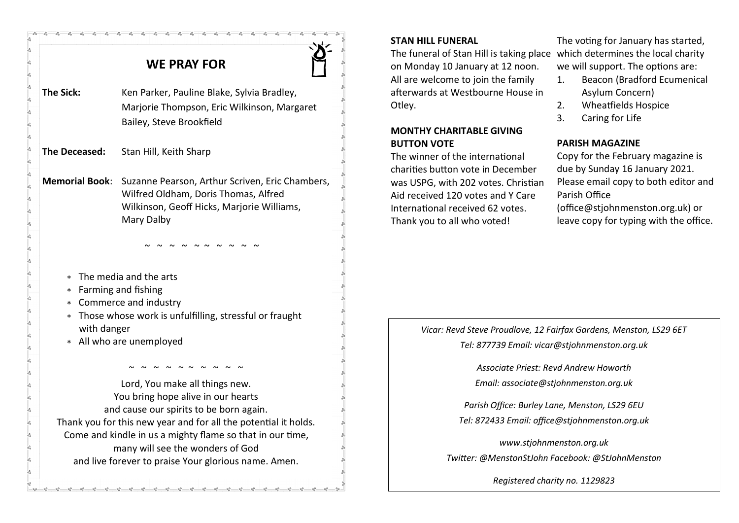| <b>WE PRAY FOR</b>                         |                                                                                                                                                                                                                                                                     |  |  |  |  |  |  |  |  |  |
|--------------------------------------------|---------------------------------------------------------------------------------------------------------------------------------------------------------------------------------------------------------------------------------------------------------------------|--|--|--|--|--|--|--|--|--|
| <b>The Sick:</b>                           | Ken Parker, Pauline Blake, Sylvia Bradley,<br>Marjorie Thompson, Eric Wilkinson, Margaret<br>Bailey, Steve Brookfield                                                                                                                                               |  |  |  |  |  |  |  |  |  |
| The Deceased:                              | Stan Hill, Keith Sharp                                                                                                                                                                                                                                              |  |  |  |  |  |  |  |  |  |
| <b>Memorial Book:</b>                      | Suzanne Pearson, Arthur Scriven, Eric Chambers,<br>Wilfred Oldham, Doris Thomas, Alfred<br>Wilkinson, Geoff Hicks, Marjorie Williams,<br>Mary Dalby                                                                                                                 |  |  |  |  |  |  |  |  |  |
| $\ast$<br>$\star$<br>with danger<br>$\ast$ | The media and the arts<br>Farming and fishing<br>* Commerce and industry<br>* Those whose work is unfulfilling, stressful or fraught<br>All who are unemployed                                                                                                      |  |  |  |  |  |  |  |  |  |
|                                            | Lord, You make all things new.<br>You bring hope alive in our hearts                                                                                                                                                                                                |  |  |  |  |  |  |  |  |  |
|                                            | and cause our spirits to be born again.<br>Thank you for this new year and for all the potential it holds.<br>Come and kindle in us a mighty flame so that in our time,<br>many will see the wonders of God<br>and live forever to praise Your glorious name. Amen. |  |  |  |  |  |  |  |  |  |

 $-8 - 8 - 8 - 8 - 8 - 8 - 8 - 8$ 

#### **STAN HILL FUNERAL**

The funeral of Stan Hill is taking place which determines the local charity on Monday 10 January at 12 noon. All are welcome to join the family afterwards at Westbourne House in Otley.

#### **MONTHY CHARITABLE GIVING BUTTON VOTE**

The winner of the international charities button vote in December was USPG, with 202 votes. Christian Aid received 120 votes and Y Care International received 62 votes. Thank you to all who voted!

The voting for January has started, we will support. The options are:

- 1. Beacon (Bradford Ecumenical Asylum Concern)
- 2. Wheatfields Hospice
- 3. Caring for Life

### **PARISH MAGAZINE**

Copy for the February magazine is due by Sunday 16 January 2021. Please email copy to both editor and Parish Office (office@stjohnmenston.org.uk) or leave copy for typing with the office.

## *Vicar: Revd Steve Proudlove, 12 Fairfax Gardens, Menston, LS29 6ET Tel: 877739 Email: vicar@stjohnmenston.org.uk*

*Associate Priest: Revd Andrew Howorth Email: associate@stjohnmenston.org.uk*

*Parish Office: Burley Lane, Menston, LS29 6EU Tel: 872433 Email: office@stjohnmenston.org.uk*

*www.stjohnmenston.org.uk Twitter: @MenstonStJohn Facebook: @StJohnMenston* 

*Registered charity no. 1129823*